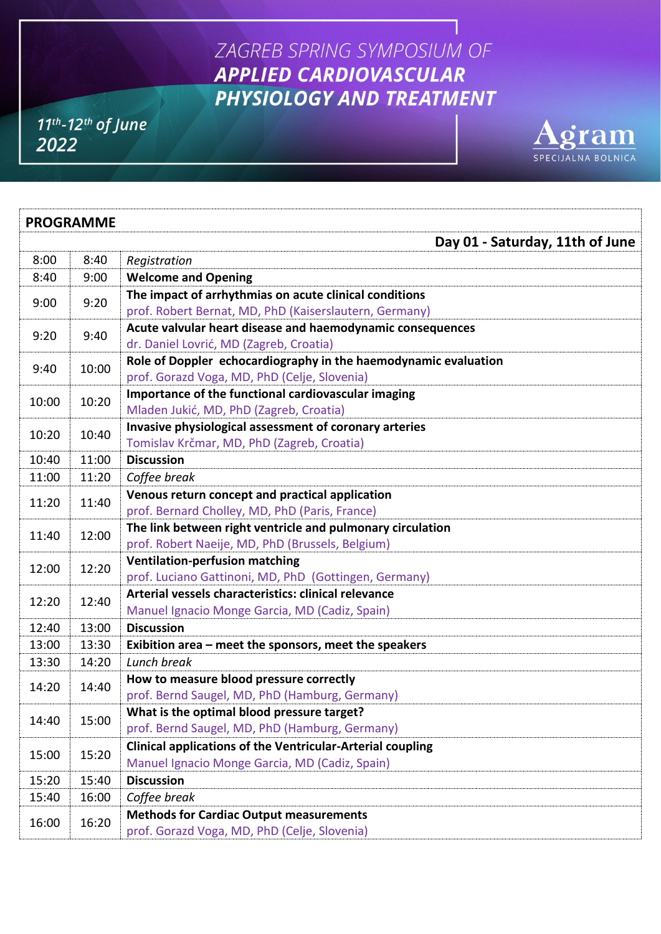## ZAGREB SPRING SYMPOSIUM OF **APPLIED CARDIOVASCULAR** PHYSIOLOGY AND TREATMENT

 $11^{th}$ -12<sup>th</sup> of June 2022



| <b>PROGRAMME</b> |       |                                                                   |  |
|------------------|-------|-------------------------------------------------------------------|--|
|                  |       | Day 01 - Saturday, 11th of June                                   |  |
| 8:00             | 8:40  | Registration                                                      |  |
| 8:40             | 9:00  | <b>Welcome and Opening</b>                                        |  |
| 9:00             | 9:20  | The impact of arrhythmias on acute clinical conditions            |  |
|                  |       | prof. Robert Bernat, MD, PhD (Kaiserslautern, Germany)            |  |
| 9:20             | 9:40  | Acute valvular heart disease and haemodynamic consequences        |  |
|                  |       | dr. Daniel Lovrić, MD (Zagreb, Croatia)                           |  |
| 9:40             | 10:00 | Role of Doppler echocardiography in the haemodynamic evaluation   |  |
|                  |       | prof. Gorazd Voga, MD, PhD (Celje, Slovenia)                      |  |
| 10:00            | 10:20 | Importance of the functional cardiovascular imaging               |  |
|                  |       | Mladen Jukić, MD, PhD (Zagreb, Croatia)                           |  |
| 10:20            | 10:40 | Invasive physiological assessment of coronary arteries            |  |
| 10:40            | 11:00 | Tomislav Krčmar, MD, PhD (Zagreb, Croatia)<br><b>Discussion</b>   |  |
| 11:00            | 11:20 | Coffee break                                                      |  |
| 11:20            | 11:40 | Venous return concept and practical application                   |  |
|                  |       | prof. Bernard Cholley, MD, PhD (Paris, France)                    |  |
|                  | 12:00 | The link between right ventricle and pulmonary circulation        |  |
| 11:40            |       | prof. Robert Naeije, MD, PhD (Brussels, Belgium)                  |  |
|                  | 12:20 | <b>Ventilation-perfusion matching</b>                             |  |
| 12:00            |       | prof. Luciano Gattinoni, MD, PhD (Gottingen, Germany)             |  |
|                  | 12:40 | Arterial vessels characteristics: clinical relevance              |  |
| 12:20            |       | Manuel Ignacio Monge Garcia, MD (Cadiz, Spain)                    |  |
| 12:40            | 13:00 | <b>Discussion</b>                                                 |  |
| 13:00            | 13:30 | Exibition area - meet the sponsors, meet the speakers             |  |
| 13:30            | 14:20 | Lunch break                                                       |  |
| 14:20            | 14:40 | How to measure blood pressure correctly                           |  |
|                  |       | prof. Bernd Saugel, MD, PhD (Hamburg, Germany)                    |  |
| 14:40            | 15:00 | What is the optimal blood pressure target?                        |  |
|                  |       | prof. Bernd Saugel, MD, PhD (Hamburg, Germany)                    |  |
| 15:00            | 15:20 | <b>Clinical applications of the Ventricular-Arterial coupling</b> |  |
|                  |       | Manuel Ignacio Monge Garcia, MD (Cadiz, Spain)                    |  |
| 15:20            | 15:40 | <b>Discussion</b>                                                 |  |
| 15:40            | 16:00 | Coffee break                                                      |  |
| 16:00            | 16:20 | <b>Methods for Cardiac Output measurements</b>                    |  |
|                  |       | prof. Gorazd Voga, MD, PhD (Celje, Slovenia)                      |  |